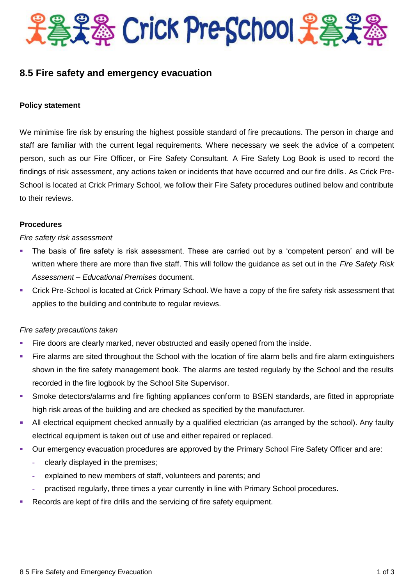

# **8.5 Fire safety and emergency evacuation**

#### **Policy statement**

We minimise fire risk by ensuring the highest possible standard of fire precautions. The person in charge and staff are familiar with the current legal requirements. Where necessary we seek the advice of a competent person, such as our Fire Officer, or Fire Safety Consultant. A Fire Safety Log Book is used to record the findings of risk assessment, any actions taken or incidents that have occurred and our fire drills. As Crick Pre-School is located at Crick Primary School, we follow their Fire Safety procedures outlined below and contribute to their reviews.

#### **Procedures**

#### *Fire safety risk assessment*

- The basis of fire safety is risk assessment. These are carried out by a 'competent person' and will be written where there are more than five staff. This will follow the guidance as set out in the *Fire Safety Risk Assessment – Educational Premises* document.
- Crick Pre-School is located at Crick Primary School. We have a copy of the fire safety risk assessment that applies to the building and contribute to regular reviews.

## *Fire safety precautions taken*

- Fire doors are clearly marked, never obstructed and easily opened from the inside.
- Fire alarms are sited throughout the School with the location of fire alarm bells and fire alarm extinguishers shown in the fire safety management book. The alarms are tested regularly by the School and the results recorded in the fire logbook by the School Site Supervisor.
- Smoke detectors/alarms and fire fighting appliances conform to BSEN standards, are fitted in appropriate high risk areas of the building and are checked as specified by the manufacturer.
- All electrical equipment checked annually by a qualified electrician (as arranged by the school). Any faulty electrical equipment is taken out of use and either repaired or replaced.
- Our emergency evacuation procedures are approved by the Primary School Fire Safety Officer and are:
	- **-** clearly displayed in the premises;
	- **-** explained to new members of staff, volunteers and parents; and
	- **-** practised regularly, three times a year currently in line with Primary School procedures.
- Records are kept of fire drills and the servicing of fire safety equipment.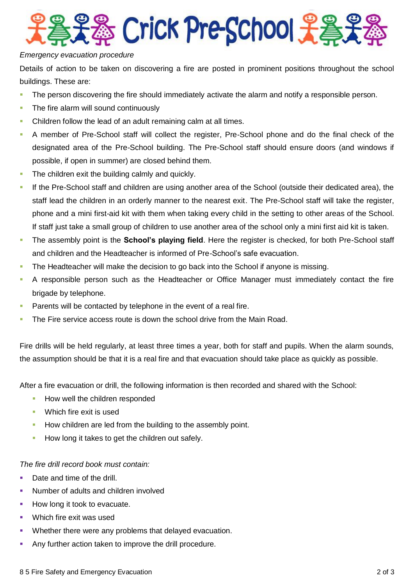

## *Emergency evacuation procedure*

Details of action to be taken on discovering a fire are posted in prominent positions throughout the school buildings. These are:

- **The person discovering the fire should immediately activate the alarm and notify a responsible person.**
- The fire alarm will sound continuously
- Children follow the lead of an adult remaining calm at all times.
- A member of Pre-School staff will collect the register, Pre-School phone and do the final check of the designated area of the Pre-School building. The Pre-School staff should ensure doors (and windows if possible, if open in summer) are closed behind them.
- The children exit the building calmly and quickly.
- If the Pre-School staff and children are using another area of the School (outside their dedicated area), the staff lead the children in an orderly manner to the nearest exit. The Pre-School staff will take the register, phone and a mini first-aid kit with them when taking every child in the setting to other areas of the School. If staff just take a small group of children to use another area of the school only a mini first aid kit is taken.
- The assembly point is the **School's playing field**. Here the register is checked, for both Pre-School staff and children and the Headteacher is informed of Pre-School's safe evacuation.
- The Headteacher will make the decision to go back into the School if anyone is missing.
- A responsible person such as the Headteacher or Office Manager must immediately contact the fire brigade by telephone.
- **Parents will be contacted by telephone in the event of a real fire.**
- The Fire service access route is down the school drive from the Main Road.

Fire drills will be held regularly, at least three times a year, both for staff and pupils. When the alarm sounds, the assumption should be that it is a real fire and that evacuation should take place as quickly as possible.

After a fire evacuation or drill, the following information is then recorded and shared with the School:

- How well the children responded
- **Which fire exit is used**
- How children are led from the building to the assembly point.
- How long it takes to get the children out safely.

*The fire drill record book must contain:*

- Date and time of the drill.
- Number of adults and children involved
- How long it took to evacuate.
- Which fire exit was used
- Whether there were any problems that delayed evacuation.
- Any further action taken to improve the drill procedure.